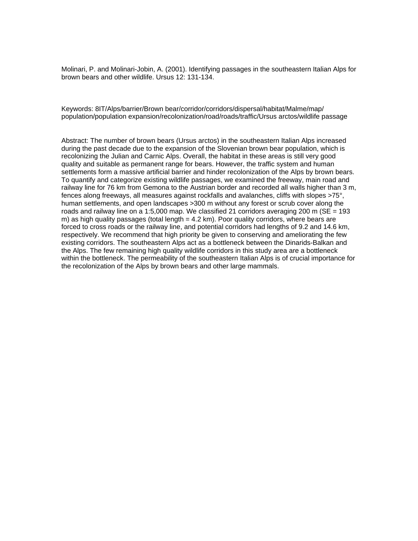Molinari, P. and Molinari-Jobin, A. (2001). Identifying passages in the southeastern Italian Alps for brown bears and other wildlife. Ursus 12: 131-134.

Keywords: 8IT/Alps/barrier/Brown bear/corridor/corridors/dispersal/habitat/Malme/map/ population/population expansion/recolonization/road/roads/traffic/Ursus arctos/wildlife passage

Abstract: The number of brown bears (Ursus arctos) in the southeastern Italian Alps increased during the past decade due to the expansion of the Slovenian brown bear population, which is recolonizing the Julian and Carnic Alps. Overall, the habitat in these areas is still very good quality and suitable as permanent range for bears. However, the traffic system and human settlements form a massive artificial barrier and hinder recolonization of the Alps by brown bears. To quantify and categorize existing wildlife passages, we examined the freeway, main road and railway line for 76 km from Gemona to the Austrian border and recorded all walls higher than 3 m, fences along freeways, all measures against rockfalls and avalanches, cliffs with slopes >75°, human settlements, and open landscapes >300 m without any forest or scrub cover along the roads and railway line on a 1:5,000 map. We classified 21 corridors averaging 200 m (SE = 193 m) as high quality passages (total length = 4.2 km). Poor quality corridors, where bears are forced to cross roads or the railway line, and potential corridors had lengths of 9.2 and 14.6 km, respectively. We recommend that high priority be given to conserving and ameliorating the few existing corridors. The southeastern Alps act as a bottleneck between the Dinarids-Balkan and the Alps. The few remaining high quality wildlife corridors in this study area are a bottleneck within the bottleneck. The permeability of the southeastern Italian Alps is of crucial importance for the recolonization of the Alps by brown bears and other large mammals.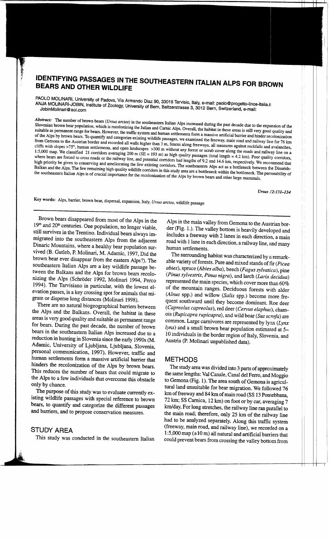## IDENTIFYING PASSAGES IN THE SOUTHEASTERN ITALIAN ALPS FOR BROWN **BEARS AND OTHER WILDLIFE**

PAOLO MOLINARI, University of Padova, Via Armando Diaz 90, 33018 Tarvisio, Italy, e-mail: paolo@progetto-lince-italia.it ANJA MOLINARI-JOBIN, Institute of Zoology, University of Bern, Baltzerstrasse 3, 3012 Bern, Switzerland, e-mail:

Abstract: The number of brown bears (Ursus arctos) in the southeastern Italian Alps increased during the past decade due to the expansion of the Slovenian brown bear population, which is recolonizing the Julian and Carnic Alps. Overall, the habitat in these areas is still very good quality and suitable as permanent range for bears. However, the traffic system and human settlements form a massive artificial barrier and hinder recolonization of the Alps by brown bears. To quantify and categorize existing wildlife passages, we examined the freeway, main road and railway line for 76 km from Gemona to the Austrian border and recorded all walls higher than 3 m, fences along freeways, all measures against rockfalls and avalanches, cliffs with slopes >75°, human settlements, and open landscapes >300 m without any forest or scrub cover along the roads and railway line on a 1:5,000 map. We classified 21 corridors averaging 200 m ( $SE = 193$  m) as high quality passages (total length = 4.2 km). Poor quality corridors, where bears are forced to cross roads or the railway line, and potential corridors had lengths of 9.2 and 14.6 km, respectively. We recommend that high priority be given to conserving and ameliorating the few existing corridors. The southeastern Alps act as a bottleneck between the Dinarids-Balkan and the Alps. The few remaining high quality wildlife corridors in this study area are a bottleneck within the bottleneck. The permeability of the southeastern Italian Alps is of crucial importance for the recolonization of the Alps by brown bears and other large mammals.

Ursus 12:131-134

Key words: Alps, barrier, brown bear, dispersal, expansion, Italy, Ursus arctos, wildlife passage

Brown bears disappeared from most of the Alps in the  $19<sup>th</sup>$  and  $20<sup>th</sup>$  centuries. One population, no longer viable, still survives in the Trentino. Individual bears always immigrated into the southeastern Alps from the adjacent Dinaric Mountains, where a healthy bear population survived (B. Gutleb, P. Molinari, M. Adamic, 1997, Did the brown bear ever disappear from the eastern Alps?). The southeastern Italian Alps are a key wildlife passage between the Balkans and the Alps for brown bears recolonizing the Alps (Schröder 1992, Molinari 1994, Perco 1994). The Tarvisiano in particular, with the lowest elevation passes, is a key crossing spot for animals that migrate or disperse long distances (Molinari 1998).

There are no natural biogeographical barriers between the Alps and the Balkans. Overall, the habitat in these areas is very good quality and suitable as permanent range for bears. During the past decade, the number of brown bears in the southeastern Italian Alps increased due to a reduction in hunting in Slovenia since the early 1990s (M. Adamic, University of Ljubljana, Ljubljana, Slovenia, personal communication, 1997). However, traffic and human settlements form a massive artificial barrier that hinders the recolonization of the Alps by brown bears. This reduces the number of bears that could migrate to the Alps to a few individuals that overcome this obstacle only by chance.

The purpose of this study was to evaluate currently existing wildlife passages with special reference to brown bears, to quantify and categorize the different passages and barriers, and to propose conservation measures.

### STUDY AREA

This study was conducted in the southeastern Italian

Alps in the main valley from Gemona to the Austrian border (Fig. 1.). The valley bottom is heavily developed and includes a freeway with 2 lanes in each direction, a main road with 1 lane in each direction, a railway line, and many human settlements.

The surrounding habitat was characterized by a remarkable variety of forests. Pure and mixed stands of fir (Picea abies), spruce (Abies alba), beech (Fagus sylvatica), pine (Pinus sylvestris, Pinus nigra), and larch (Larix decidua) represented the main species, which cover more than 60% of the mountain ranges. Deciduous forests with alder (Alnus spp.) and willow (Salix spp.) become more frequent southward until they become dominant. Roe deer (Capreolus capreolus), red deer (Cervus elaphus), chamois (Rupicapra rupicapra), and wild boar (Sus scrofa) are common. Large carnivores are represented by  $lynx$  ( $Lynx$ lynx) and a small brown bear population estimated at 5-10 individuals in the border region of Italy, Slovenia, and Austria (P. Molinari unpublished data).

#### **METHODS**

The study area was divided into 3 parts of approximately the same lengths: Val Canale, Canal del Ferro, and Moggio to Gemona (Fig. 1). The area south of Gemona is agricultural land unsuitable for bear migration. We followed 76 km of freeway and 84 km of main road (SS 13 Pontebbana, 72 km; SS Carnica, 12 km) on foot or by car, averaging 7 km/day. For long stretches, the railway line ran parallel to the main road; therefore, only 25 km of the railway line had to be analyzed separately. Along this traffic system (freeway, main road, and railway line), we recorded on a 1:5,000 map (±10 m) all natural and artificial barriers that could prevent bears from crossing the valley bottom from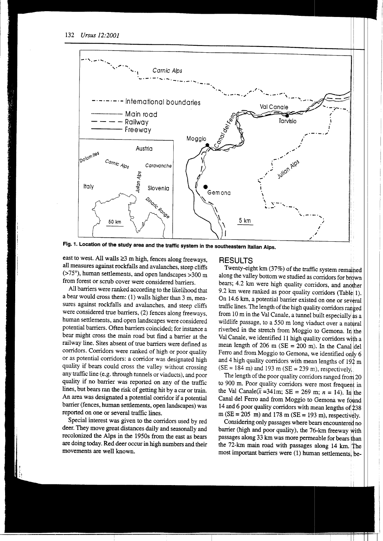

Fig. 1. Location of the study area and the traffic system in the southeastern Italian Alps.

east to west. All walls ≥3 m high, fences along freeways, all measures against rockfalls and avalanches, steep cliffs (>75°), human settlements, and open landscapes >300 m from forest or scrub cover were considered barriers.

All barriers were ranked according to the likelihood that a bear would cross them: (1) walls higher than 3 m, measures against rockfalls and avalanches, and steep cliffs were considered true barriers, (2) fences along freeways, human settlements, and open landscapes were considered potential barriers. Often barriers coincided; for instance a bear might cross the main road but find a barrier at the railway line. Sites absent of true barriers were defined as corridors. Corridors were ranked of high or poor quality or as potential corridors: a corridor was designated high quality if bears could cross the valley without crossing any traffic line (e.g. through tunnels or viaducts), and poor quality if no barrier was reported on any of the traffic lines, but bears ran the risk of getting hit by a car or train. An area was designated a potential corridor if a potential barrier (fences, human settlements, open landscapes) was reported on one or several traffic lines.

Special interest was given to the corridors used by red deer. They move great distances daily and seasonally and recolonized the Alps in the 1950s from the east as bears are doing today. Red deer occur in high numbers and their movements are well known.

#### **RESULTS**

Twenty-eight km (37%) of the traffic system remained along the valley bottom we studied as corridors for brown bears; 4.2 km were high quality corridors, and another 9.2 km were ranked as poor quality corridors (Table 1). On 14.6 km, a potential barrier existed on one or several traffic lines. The length of the high quality corridors ranged from 10 m in the Val Canale, a tunnel built especially as a wildlife passage, to a 550 m long viaduct over a natural riverbed in the stretch from Moggio to Gemona. In the Val Canale, we identified 11 high quality corridors with a mean length of 206 m ( $SE = 200$  m). In the Canal del Ferro and from Moggio to Gemona, we identified only 6 and 4 high quality corridors with mean lengths of  $192 \text{ m}$  $(SE = 184 \text{ m})$  and 193 m  $(SE = 239 \text{ m})$ , respectively.

The length of the poor quality corridors ranged from 20 to 900 m. Poor quality corridors were most frequent in the Val Canale( $\bar{x}$  =341m; SE = 269 m; n = 14). In the Canal del Ferro and from Moggio to Gemona we found 14 and 6 poor quality corridors with mean lengths of 238 m (SE = 205 m) and 178 m (SE = 193 m), respectively.

Considering only passages where bears encountered no barrier (high and poor quality), the 76-km freeway with passages along 33 km was more permeable for bears than the 72-km main road with passages along 14 km. The most important barriers were (1) human settlements, be-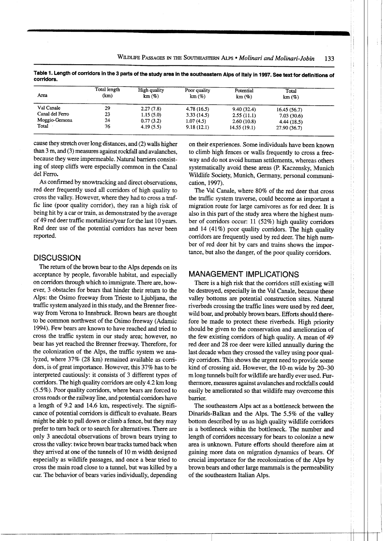| Area            | Total length<br>(km) | High quality<br>km(%) | Poor quality<br>km(%) | Potential<br>km(%) | Total<br>km(%) |  |
|-----------------|----------------------|-----------------------|-----------------------|--------------------|----------------|--|
| Val Canale      | 29                   | 2.27(7.8)             | 4.78(16.5)            | 9.40(32.4)         | 16.45(56.7)    |  |
| Canal del Ferro | 23                   | 1.15(5.0)             | 3.33(14.5)            | 2.55(11.1)         | 7.03(30.6)     |  |
| Moggio-Gemona   | 24                   | 0.77(3.2)             | 1.07(4.5)             | 2.60(10.8)         | 4.44(18.5)     |  |
| Total           | 76                   | 4.19(5.5)             | 9.18(12.1)            | 14.55(19.1)        | 27.90(36.7)    |  |

Table 1. Length of corridors in the 3 parts of the study area in the southeastern Alps of Italy in 1997. See text for definitions of corridors.

cause they stretch over long distances, and (2) walls higher than 3 m, and (3) measures against rockfall and avalanches. because they were impermeable. Natural barriers consisting of steep cliffs were especially common in the Canal del Ferro.

As confirmed by snowtracking and direct observations, red deer frequently used all corridors of high quality to cross the valley. However, where they had to cross a traffic line (poor quality corridor), they ran a high risk of being hit by a car or train, as demonstrated by the average of 49 red deer traffic mortalities/year for the last 10 years. Red deer use of the potential corridors has never been reported.

#### **DISCUSSION**

The return of the brown bear to the Alps depends on its acceptance by people, favorable habitat, and especially on corridors through which to immigrate. There are, however, 3 obstacles for bears that hinder their return to the Alps: the Osimo freeway from Trieste to Ljubljana, the traffic system analyzed in this study, and the Brenner freeway from Verona to Innsbruck. Brown bears are thought to be common northwest of the Osimo freeway (Adamic 1994). Few bears are known to have reached and tried to cross the traffic system in our study area; however, no bear has yet reached the Brenner freeway. Therefore, for the colonization of the Alps, the traffic system we analyzed, where 37% (28 km) remained available as corridors, is of great importance. However, this 37% has to be interpreted cautiously: it consists of 3 different types of corridors. The high quality corridors are only 4.2 km long (5.5%). Poor quality corridors, where bears are forced to cross roads or the railway line, and potential corridors have a length of 9.2 and 14.6 km, respectively. The significance of potential corridors is difficult to evaluate. Bears might be able to pull down or climb a fence, but they may prefer to turn back or to search for alternatives. There are only 3 anecdotal observations of brown bears trying to cross the valley: twice brown bear tracks turned back when they arrived at one of the tunnels of 10 m width designed especially as wildlife passages, and once a bear tried to cross the main road close to a tunnel, but was killed by a car. The behavior of bears varies individually, depending on their experiences. Some individuals have been known to climb high fences or walls frequently to cross a freeway and do not avoid human settlements, whereas others systematically avoid these areas (P. Kaczensky, Munich Wildlife Society, Munich, Germany, personal communication, 1997).

l.

The Val Canale, where 80% of the red deer that cross the traffic system traverse, could become as important a migration route for large carnivores as for red deer. It is also in this part of the study area where the highest number of corridors occur: 11 (52%) high quality corridors and 14 (41%) poor quality corridors. The high quality corridors are frequently used by red deer. The high number of red deer hit by cars and trains shows the importance, but also the danger, of the poor quality corridors.

#### **MANAGEMENT IMPLICATIONS**

There is a high risk that the corridors still existing will be destroyed, especially in the Val Canale, because these valley bottoms are potential construction sites. Natural riverbeds crossing the traffic lines were used by red deer, wild boar, and probably brown bears. Efforts should therefore be made to protect these riverbeds. High priority should be given to the conservation and amelioration of the few existing corridors of high quality. A mean of 49 red deer and 28 roe deer were killed annually during the last decade when they crossed the valley using poor quality corridors. This shows the urgent need to provide some kind of crossing aid. However, the 10-m wide by 20–30 m long tunnels built for wildlife are hardly ever used. Furthermore, measures against avalanches and rockfalls could easily be ameliorated so that wildlife may overcome this barrier.

The southeastern Alps act as a bottleneck between the Dinarids-Balkan and the Alps. The 5.5% of the valley bottom described by us as high quality wildlife corridors is a bottleneck within the bottleneck. The number and length of corridors necessary for bears to colonize a new area is unknown. Future efforts should therefore aim at gaining more data on migration dynamics of bears. Of crucial importance for the recolonization of the Alps by brown bears and other large mammals is the permeability of the southeastern Italian Alps.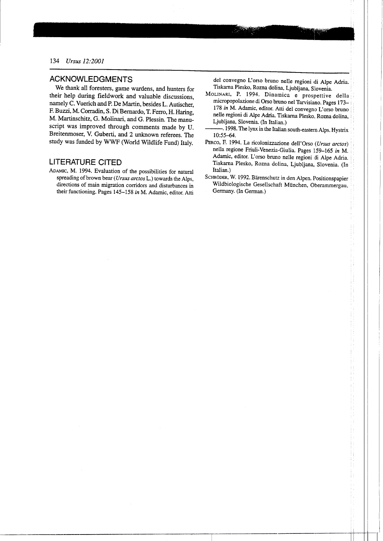#### **ACKNOWLEDGMENTS**

We thank all foresters, game wardens, and hunters for their help during fieldwork and valuable discussions. namely C. Vuerich and P. De Martin, besides L. Autischer, F. Buzzi, M. Corradin, S. Di Bernardo, T. Ferro, H. Haring, M. Martinschitz, G. Molinari, and G. Plessin. The manuscript was improved through comments made by U. Breitenmoser, V. Guberti, and 2 unknown referees. The study was funded by WWF (World Wildlife Fund) Italy.

### **LITERATURE CITED**

ADAMIC, M. 1994. Evaluation of the possibilities for natural spreading of brown bear (Ursus arctos L.) towards the Alps, directions of main migration corridors and disturbances in their functioning. Pages 145-158 in M. Adamic, editor. Atti

del convegno L'orso bruno nelle regioni di Alpe Adria. Tiskarna Plesko, Rozna dolina, Ljubljana, Slovenia.

MOLINARI, P. 1994. Dinamica e prospettive della micropopolazione di Orso bruno nel Tarvisiano. Pages 173-178 in M. Adamic, editor. Atti del convegno L'orso bruno nelle regioni di Alpe Adria. Tiskarna Plesko, Rozna dolina, Liubliana, Slovenia. (In Italian.)

. 1998. The lynx in the Italian south-eastern Alps. Hystrix 10:55-64.

- PERCO, F. 1994. La ricolonizzazione dell'Orso (Ursus arctos) nella regione Friuli-Venezia-Giulia. Pages 159-165 in M. Adamic, editor. L'orso bruno nelle regioni di Alpe Adria. Tiskarna Plesko, Rozna dolina, Ljubljana, Slovenia. (In Italian.)
- SCHRÖDER, W. 1992. Bärenschutz in den Alpen. Positionspapier Wildbiologische Gesellschaft München, Oberammergau, Germany. (In German.)